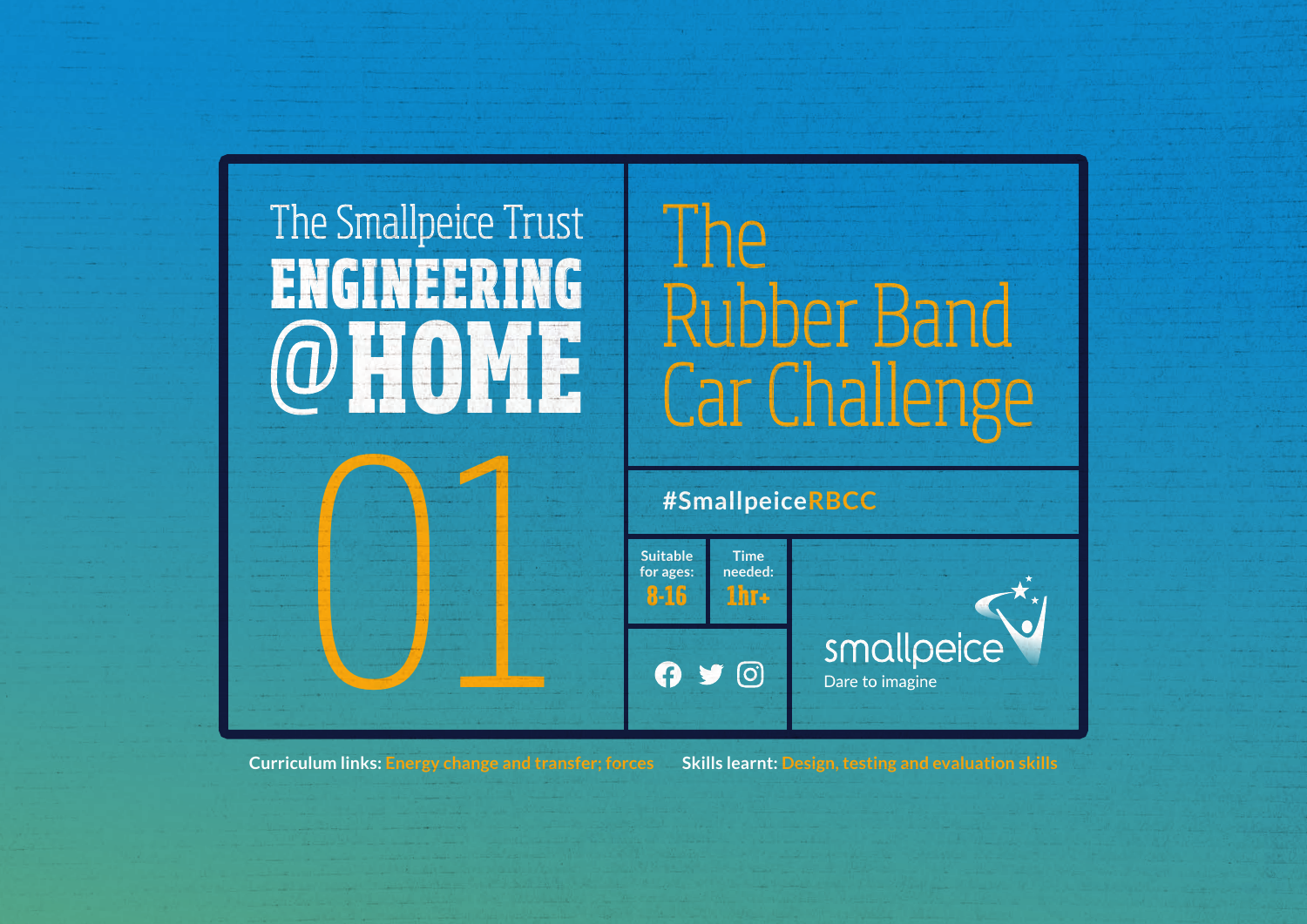# **HOME** @ **ENGINEERING** The Smallpeice Trust<br>
FNGINEERING Rubber Band

01

Car Challenge

#### **#SmallpeiceRBCC**



**Curriculum links: Energy change and transfer; forces Skills learnt: Design, testing and evaluation skills**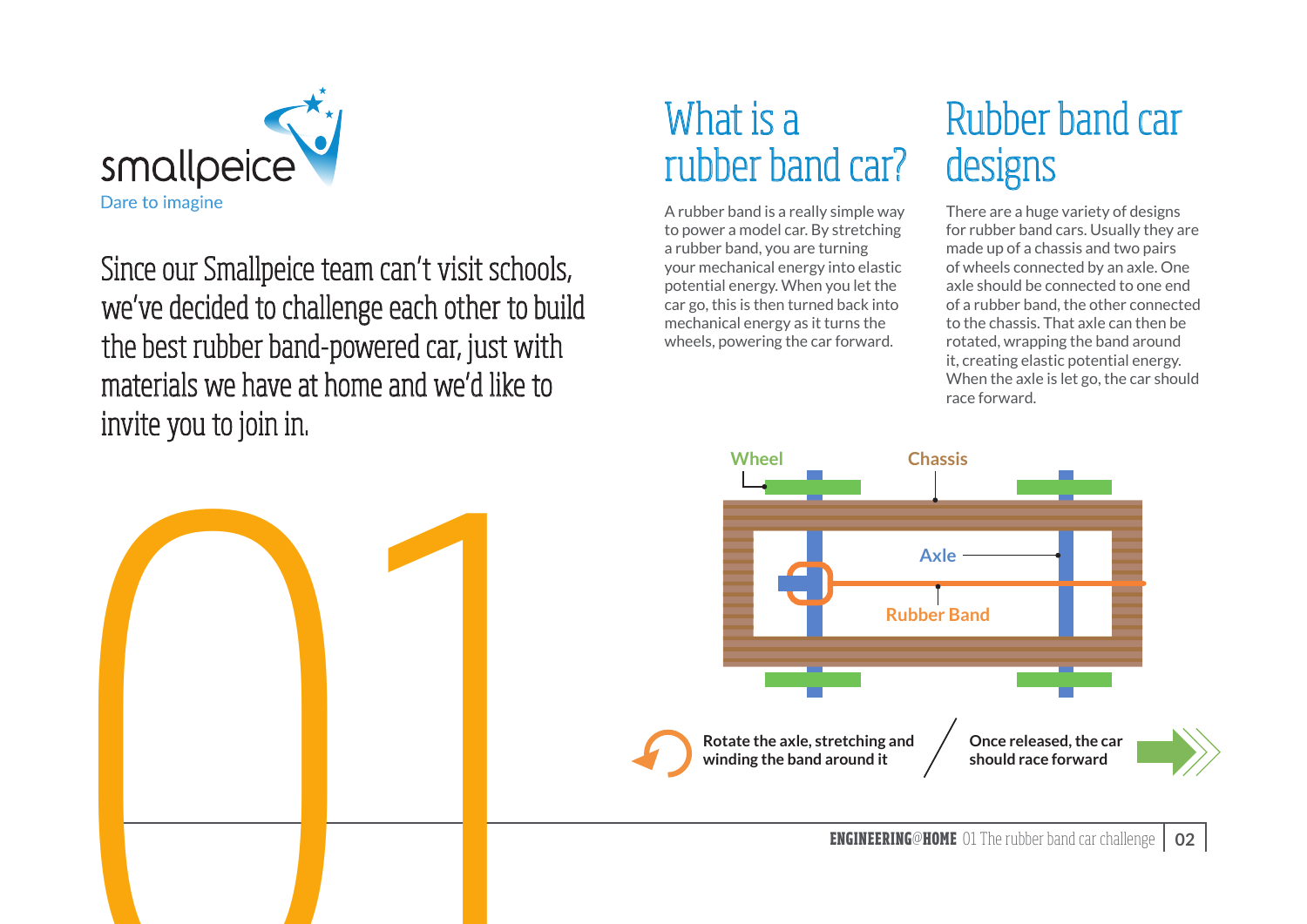

Since our Smallpeice team can't visit schools, we've decided to challenge each other to build the best rubber band-powered car, just with materials we have at home and we'd like to invite you to join in.

## What is a rubber band car?

A rubber band is a really simple way to power a model car. By stretching a rubber band, you are turning your mechanical energy into elastic potential energy. When you let the car go, this is then turned back into mechanical energy as it turns the wheels, powering the car forward.

## Rubber band car designs

There are a huge variety of designs for rubber band cars. Usually they are made up of a chassis and two pairs of wheels connected by an axle. One axle should be connected to one end of a rubber band, the other connected to the chassis. That axle can then be rotated, wrapping the band around it, creating elastic potential energy. When the axle is let go, the car should race forward.

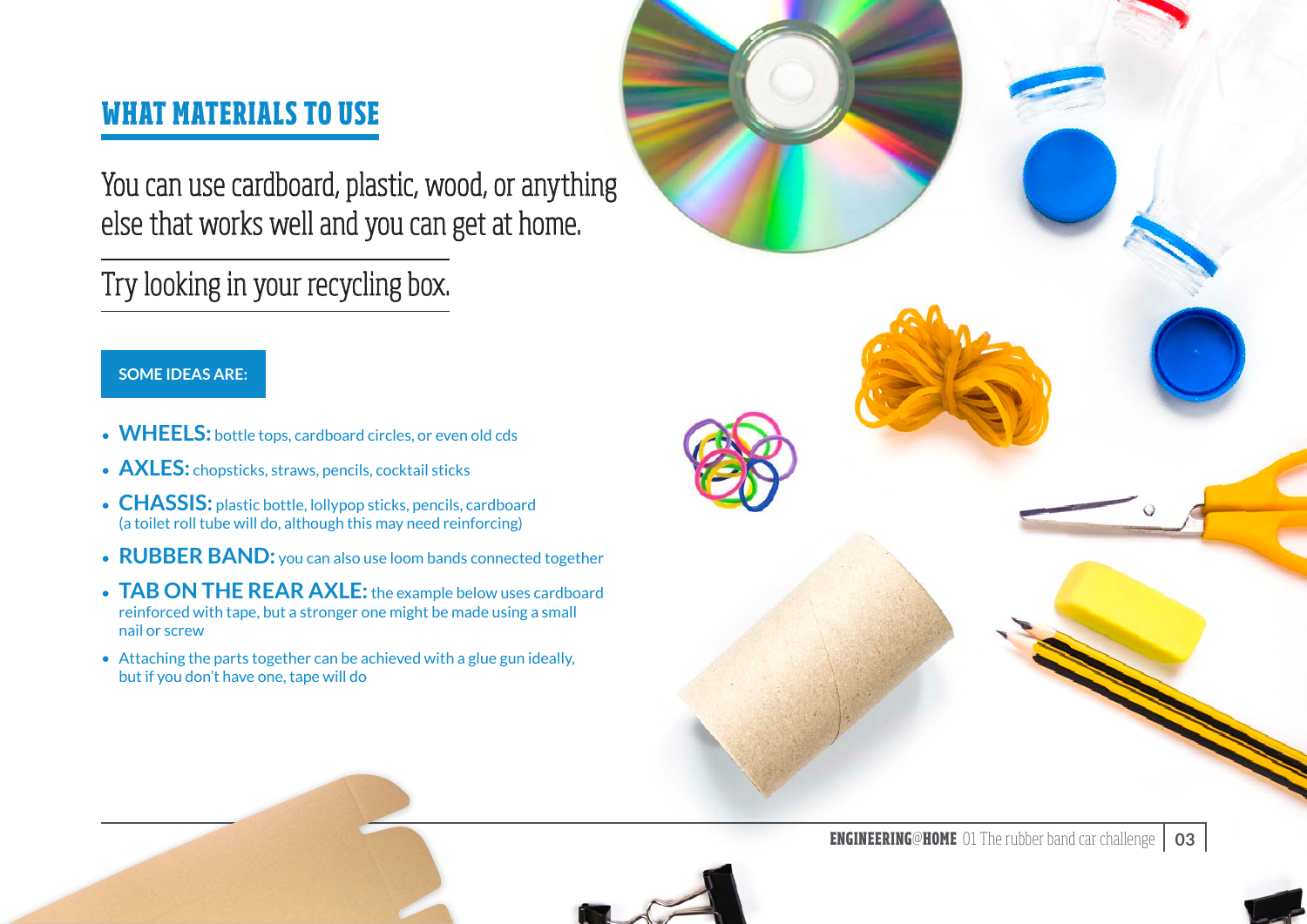#### **WHAT MATERIALS TO USE**

You can use cardboard, plastic, wood, or anything else that works well and you can get at home.

#### Try looking in your recycling box.

#### **SOME IDEAS ARE:**

- **WHEELS:** bottle tops, cardboard circles, or even old cds
- **AXLES:** chopsticks, straws, pencils, cocktail sticks
- **CHASSIS:** plastic bottle, lollypop sticks, pencils, cardboard (a toilet roll tube will do, although this may need reinforcing)
- **RUBBER BAND:** you can also use loom bands connected together
- **TAB ON THE REAR AXLE:** the example below uses cardboard reinforced with tape, but a stronger one might be made using a small nail or screw
- Attaching the parts together can be achieved with a glue gun ideally, but if you don't have one, tape will do



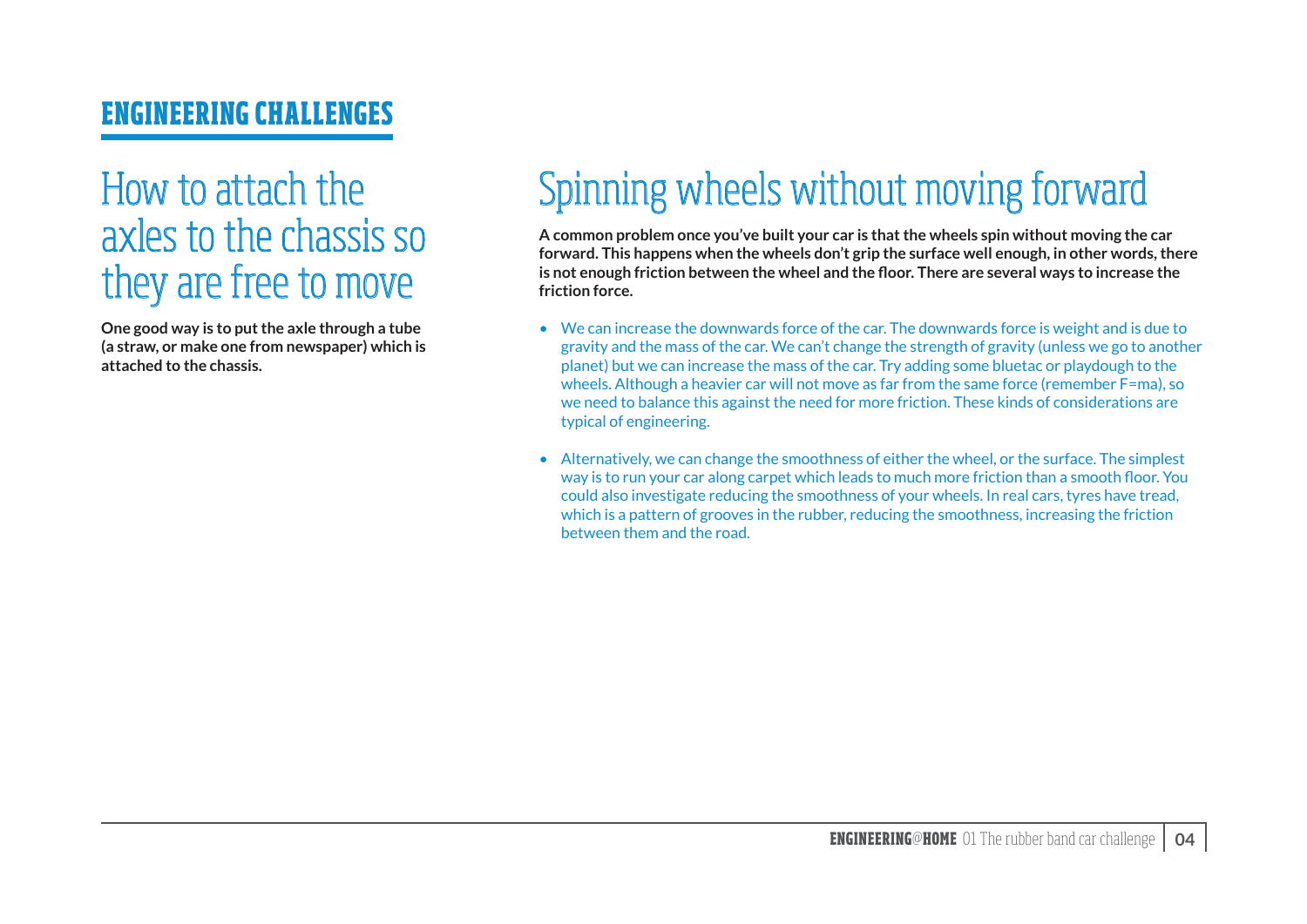#### **ENGINEERING CHALLENGES**

### How to attach the axles to the chassis so they are free to move

**One good way is to put the axle through a tube (a straw, or make one from newspaper) which is attached to the chassis.**

## Spinning wheels without moving forward

**A common problem once you've built your car is that the wheels spin without moving the car forward. This happens when the wheels don't grip the surface well enough, in other words, there is not enough friction between the wheel and the floor. There are several ways to increase the friction force.**

- We can increase the downwards force of the car. The downwards force is weight and is due to gravity and the mass of the car. We can't change the strength of gravity (unless we go to another planet) but we can increase the mass of the car. Try adding some bluetac or playdough to the wheels. Although a heavier car will not move as far from the same force (remember F=ma), so we need to balance this against the need for more friction. These kinds of considerations are typical of engineering.
- Alternatively, we can change the smoothness of either the wheel, or the surface. The simplest way is to run your car along carpet which leads to much more friction than a smooth floor. You could also investigate reducing the smoothness of your wheels. In real cars, tyres have tread, which is a pattern of grooves in the rubber, reducing the smoothness, increasing the friction between them and the road.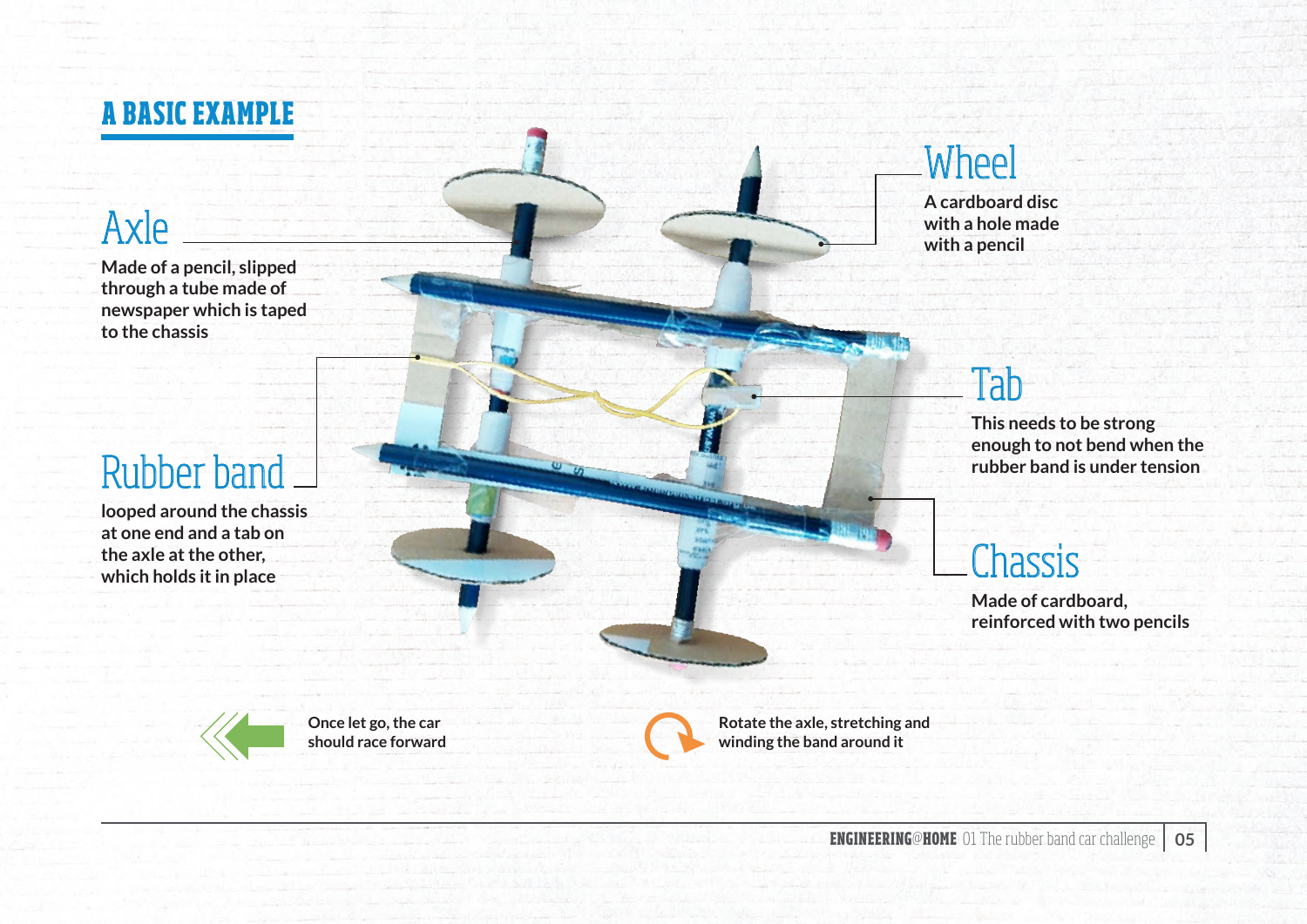

#### Axle

**Made of a pencil, slipped through a tube made of newspaper which is taped to the chassis** 

## Rubber band

**looped around the chassis at one end and a tab on the axle at the other, which holds it in place** 

#### Wheel

**A cardboard disc with a hole made with a pencil**

#### Tab

**This needs to be strong enough to not bend when the rubber band is under tension**

## **Chassis**

**Made of cardboard, reinforced with two pencils**



**Once let go, the car should race forward**



**Rotate the axle, stretching and winding the band around it**